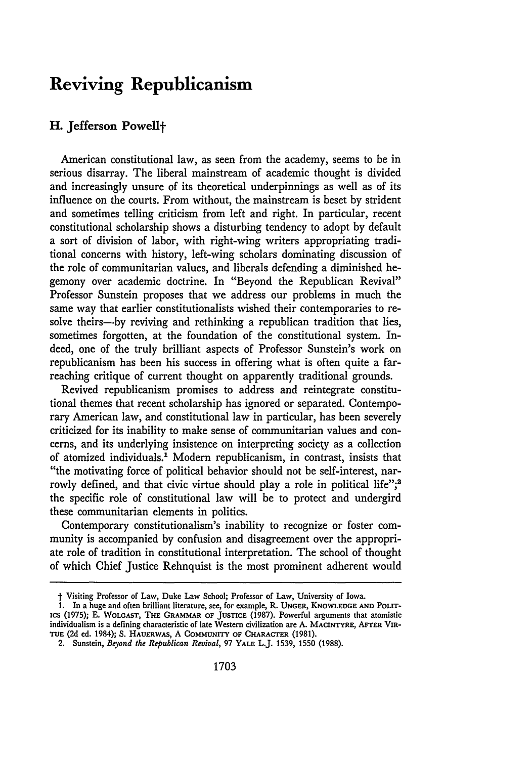# **Reviving Republicanism**

## **H. Jefferson Powellf**

American constitutional law, as seen from the academy, seems to be in serious disarray. The liberal mainstream of academic thought is divided and increasingly unsure of its theoretical underpinnings as well as of its influence on the courts. From without, the mainstream is beset **by** strident and sometimes telling criticism from left and right. In particular, recent constitutional scholarship shows a disturbing tendency to adopt **by** default a sort of division of labor, with right-wing writers appropriating traditional concerns with history, left-wing scholars dominating discussion of the role of communitarian values, and liberals defending a diminished hegemony over academic doctrine. In "Beyond the Republican Revival" Professor Sunstein proposes that we address our problems in much the same way that earlier constitutionalists wished their contemporaries to resolve theirs-by reviving and rethinking a republican tradition that lies, sometimes forgotten, at the foundation of the constitutional system. Indeed, one of the truly brilliant aspects of Professor Sunstein's work on republicanism has been his success in offering what is often quite a farreaching critique of current thought on apparently traditional grounds.

Revived republicanism promises to address and reintegrate constitutional themes that recent scholarship has ignored or separated. Contemporary American law, and constitutional law in particular, has been severely criticized for its inability to make sense of communitarian values and concerns, and its underlying insistence on interpreting society as a collection of atomized individuals.' Modern republicanism, in contrast, insists that "the motivating force of political behavior should not be self-interest, narrowly defined, and that civic virtue should play a role in political life";<sup>2</sup> the specific role of constitutional law will be to protect and undergird these communitarian elements in politics.

Contemporary constitutionalism's inability to recognize or foster community is accompanied **by** confusion and disagreement over the appropriate role of tradition in constitutional interpretation. The school of thought of which Chief Justice Rehnquist is the most prominent adherent would

**t** Visiting Professor of Law, Duke Law School; Professor of Law, University of Iowa.

<sup>1.</sup> In a huge and often brilliant literature, see, for example, R. UNGER, KNOWLEDGE AND POLITics (1975); **E.** WOLGAST, **THE** GRAMMAR OF **JUSTICE** (1987). Powerful arguments that atomistic individualism is a defining characteristic of late Western civilization are A. MACINTYRE, AFTER VIR-**TUE** (2d ed. 1984); S. HAUERWAS, A COMMUNITY **OF** CHARACTER (1981).

<sup>2.</sup> Sunstein, *Beyond the Republican Revival,* 97 YALE L.J. 1539, 1550 (1988).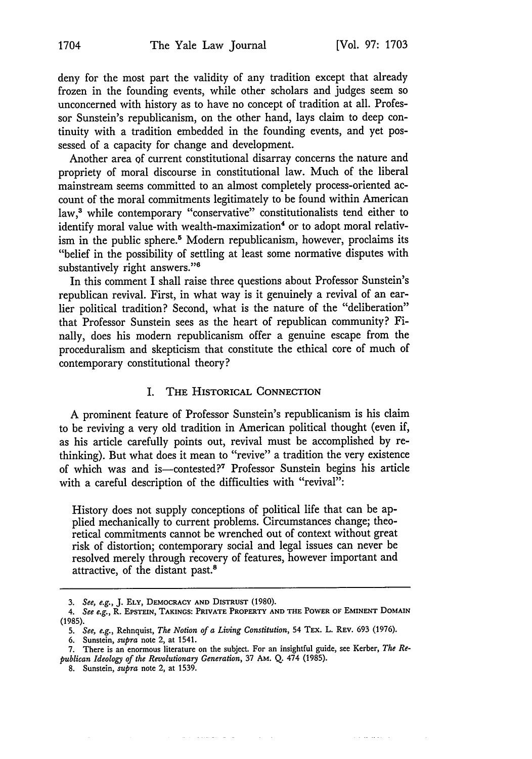والمعتمل سوالون

deny for the most part the validity of any tradition except that already frozen in the founding events, while other scholars and judges seem so unconcerned with history as to have no concept of tradition at all. Professor Sunstein's republicanism, on the other hand, lays claim to deep continuity with a tradition embedded in the founding events, and yet possessed of a capacity for change and development.

Another area of current constitutional disarray concerns the nature and propriety of moral discourse in constitutional law. Much of the liberal mainstream seems committed to an almost completely process-oriented account of the moral commitments legitimately to be found within American law,<sup>3</sup> while contemporary "conservative" constitutionalists tend either to identify moral value with wealth-maximization<sup>4</sup> or to adopt moral relativism in the public sphere.<sup>5</sup> Modern republicanism, however, proclaims its "belief in the possibility of settling at least some normative disputes with substantively right answers."<sup>6</sup>

In this comment I shall raise three questions about Professor Sunstein's republican revival. First, in what way is it genuinely a revival of an earlier political tradition? Second, what is the nature of the "deliberation" that Professor Sunstein sees as the heart of republican community? Finally, does his modern republicanism offer a genuine escape from the proceduralism and skepticism that constitute the ethical core of much of contemporary constitutional theory?

## I. **THE** HISTORICAL **CONNECTION**

A prominent feature of Professor Sunstein's republicanism is his claim to be reviving a very old tradition in American political thought (even if, as his article carefully points out, revival must be accomplished by rethinking). But what does it mean to "revive" a tradition the very existence of which was and is-contested?7 Professor Sunstein begins his article with a careful description of the difficulties with "revival":

History does not supply conceptions of political life that can be applied mechanically to current problems. Circumstances change; theoretical commitments cannot be wrenched out of context without great risk of distortion; contemporary social and legal issues can never be resolved merely through recovery of features, however important and attractive, of the distant past.8

القارا القرار للمحافظ الرابانية

*<sup>3.</sup> See, e.g.,* J. **ELY, DEMOCRACY AND DISTRUST (1980).**

<sup>4.</sup> *See e.g.,* R. **EPSTEIN, TAKINGS: PRIVATE** PROPERTY **AND THE** POWER **OF EMINENT DOMAIN** (1985).

*<sup>5.</sup> See, e.g.,* Rehnquist, *The Notion of a Living Constitution,* 54 TEX. L. REv. 693 (1976).

<sup>6.</sup> Sunstein, *supra* note 2, at 1541.

<sup>7.</sup> There is an enormous literature on the subject. For an insightful guide, see Kerber, *The Republican Ideology of the Revolutionary Generation,* 37 AM. Q. 474 (1985).

<sup>8.</sup> Sunstein, *supra* note 2, at 1539.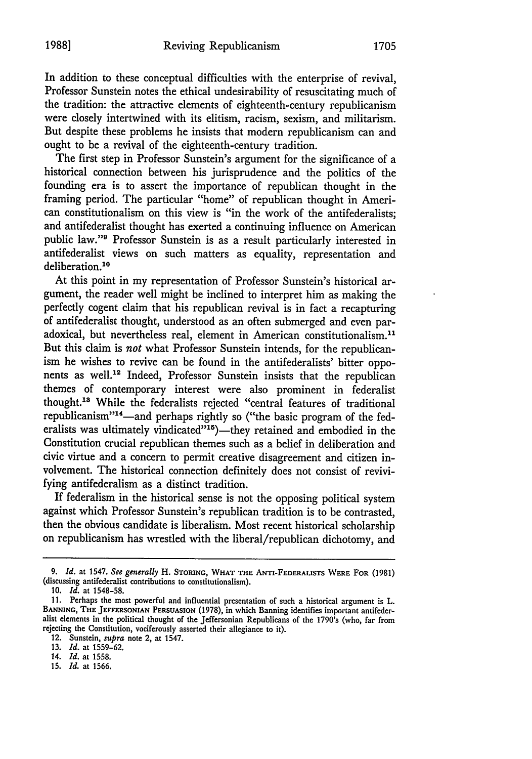In addition to these conceptual difficulties with the enterprise of revival, Professor Sunstein notes the ethical undesirability of resuscitating much of the tradition: the attractive elements of eighteenth-century republicanism were closely intertwined with its elitism, racism, sexism, and militarism. But despite these problems he insists that modern republicanism can and ought to be a revival of the eighteenth-century tradition.

The first step in Professor Sunstein's argument for the significance of a historical connection between his jurisprudence and the politics of the founding era is to assert the importance of republican thought in the framing period. The particular "home" of republican thought in American constitutionalism on this view is "in the work of the antifederalists; and antifederalist thought has exerted a continuing influence on American public law."9 Professor Sunstein is as a result particularly interested in antifederalist views on such matters as equality, representation and deliberation.<sup>10</sup>

At this point in my representation of Professor Sunstein's historical argument, the reader well might be inclined to interpret him as making the perfectly cogent claim that his republican revival is in fact a recapturing of antifederalist thought, understood as an often submerged and even paradoxical, but nevertheless real, element in American constitutionalism."' But this claim is *not* what Professor Sunstein intends, for the republicanism he wishes to revive can be found in the antifederalists' bitter opponents as well.12 Indeed, Professor Sunstein insists that the republican themes of contemporary interest were also prominent in federalist thought.1 " While the federalists rejected "central features of traditional republicanism"<sup>14</sup>-and perhaps rightly so ("the basic program of the federalists was ultimately vindicated"<sup>15</sup>)-they retained and embodied in the Constitution crucial republican themes such as a belief in deliberation and civic virtue and a concern to permit creative disagreement and citizen involvement. The historical connection definitely does not consist of revivifying antifederalism as a distinct tradition.

If federalism in the historical sense is not the opposing political system against which Professor Sunstein's republican tradition is to be contrasted, then the obvious candidate is liberalism. Most recent historical scholarship on republicanism has wrestled with the liberal/republican dichotomy, and

14. *Id.* **at 1558.**

**15.** *Id.* **at 1566.**

*<sup>9.</sup> Id.* at 1547. *See generally* H. **STORING, WHAT THE ANTI-FEDERALISTS WERE FOR (1981)** (discussing antifederalist contributions to **constitutionalism).**

**<sup>10.</sup>** *Id.* at **1548-58.**

**<sup>11.</sup>** Perhaps the most powerful and influential presentation of such a historical argument is L. **BANNING, THE JEFFERSONIAN PERSUASION (1978),** in which Banning identifies important antifederalist elements in the political thought of the Jeffersonian Republicans of the 1790's (who, far from rejecting the Constitution, vociferously asserted their allegiance to it).

<sup>12.</sup> Sunstein, supra note 2, at 1547. **13.** *Id.* **at 1559-62.**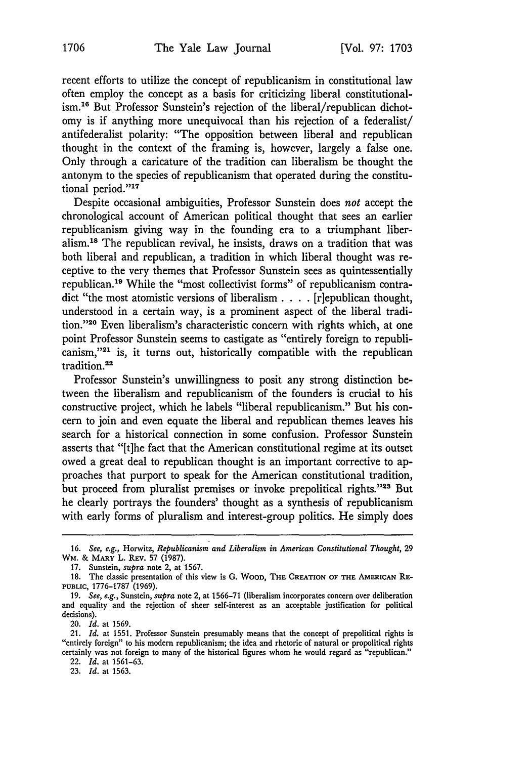recent efforts to utilize the concept of republicanism in constitutional law often employ the concept as a basis for criticizing liberal constitutionalism.<sup>16</sup> But Professor Sunstein's rejection of the liberal/republican dichotomy is if anything more unequivocal than his rejection of a federalist/ antifederalist polarity: "The opposition between liberal and republican thought in the context of the framing is, however, largely a false one. Only through a caricature of the tradition can liberalism be thought the antonym to the species of republicanism that operated during the constitutional period."<sup>17</sup>

Despite occasional ambiguities, Professor Sunstein does *not* accept the chronological account of American political thought that sees an earlier republicanism giving way in the founding era to a triumphant liberalism.<sup>18</sup> The republican revival, he insists, draws on a tradition that was both liberal and republican, a tradition in which liberal thought was receptive to the very themes that Professor Sunstein sees as quintessentially republican.<sup>19</sup> While the "most collectivist forms" of republicanism contradict "the most atomistic versions of liberalism . **. .** . [riepublican thought, understood in a certain way, is a prominent aspect of the liberal tradition."20 Even liberalism's characteristic concern with rights which, at one point Professor Sunstein seems to castigate as "entirely foreign to republicanism,"<sup>21</sup> is, it turns out, historically compatible with the republican tradition.<sup>22</sup>

Professor Sunstein's unwillingness to posit any strong distinction between the liberalism and republicanism of the founders is crucial to his constructive project, which he labels "liberal republicanism." But his concern to join and even equate the liberal and republican themes leaves his search for a historical connection in some confusion. Professor Sunstein asserts that "[t]he fact that the American constitutional regime at its outset owed a great deal to republican thought is an important corrective to approaches that purport to speak for the American constitutional tradition, but proceed from pluralist premises or invoke prepolitical rights."23 But he clearly portrays the founders' thought as a synthesis of republicanism with early forms of pluralism and interest-group politics. He simply does

23. *Id.* at 1563.

<sup>16.</sup> *See, e.g.,* Horwitz, *Republicanism and Liberalism in American Constitutional Thought,* 29 WM. & MARY L. **REv. 57** (1987).

<sup>17.</sup> Sunstein, *supra* note 2, at 1567.

**<sup>18.</sup>** The classic presentation of this view is **G.** WOOD, **THE CREATION OF THE AMERICAN RE-PUBLIC,** 1776-1787 (1969).

<sup>19.</sup> *See, e.g.,* Sunstein, *supra* note 2, at 1566-71 (liberalism incorporates concern over deliberation and equality and the rejection of sheer self-interest as an acceptable justification for political decisions).

<sup>20.</sup> *Id.* at 1569.

<sup>21.</sup> *Id.* at 1551. Professor Sunstein presumably means that the concept of prepolitical rights is "entirely foreign" to his modern republicanism; the idea and rhetoric of natural or propolitical rights certainly was not foreign to many of the historical figures whom he would regard as "republican." 22. *Id.* at 1561-63.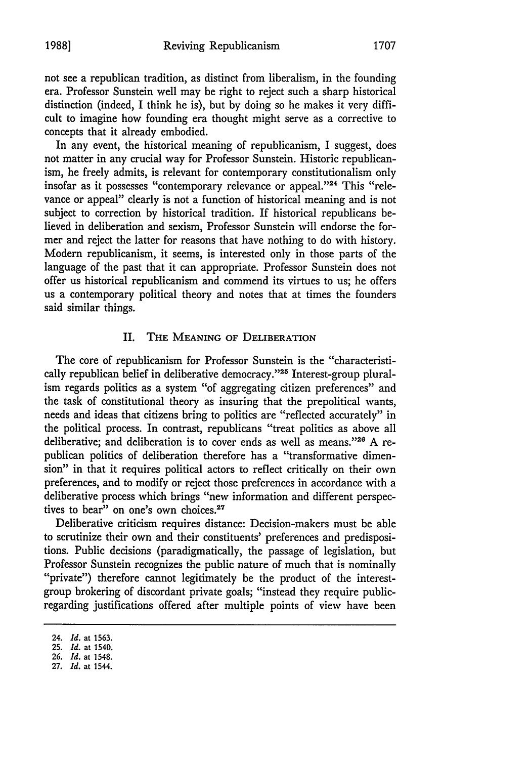In any event, the historical meaning of republicanism, I suggest, does not matter in any crucial way for Professor Sunstein. Historic republicanism, he freely admits, is relevant for contemporary constitutionalism only insofar as it possesses "contemporary relevance or appeal."24 This "relevance or appeal" clearly is not a function of historical meaning and is not subject to correction by historical tradition. If historical republicans believed in deliberation and sexism, Professor Sunstein will endorse the former and reject the latter for reasons that have nothing to do with history. Modern republicanism, it seems, is interested only in those parts of the language of the past that it can appropriate. Professor Sunstein does not offer us historical republicanism and commend its virtues to us; he offers us a contemporary political theory and notes that at times the founders said similar things.

#### II. **THE** MEANING OF DELIBERATION

The core of republicanism for Professor Sunstein is the "characteristically republican belief in deliberative democracy."<sup>25</sup> Interest-group pluralism regards politics as a system "of aggregating citizen preferences" and the task of constitutional theory as insuring that the prepolitical wants, needs and ideas that citizens bring to politics are "reflected accurately" in the political process. In contrast, republicans "treat politics as above all deliberative; and deliberation is to cover ends as well as means."26 A republican politics of deliberation therefore has a "transformative dimension" in that it requires political actors to reflect critically on their own preferences, and to modify or reject those preferences in accordance with a deliberative process which brings "new information and different perspectives to bear" on one's own choices.<sup>27</sup>

Deliberative criticism requires distance: Decision-makers must be able to scrutinize their own and their constituents' preferences and predispositions. Public decisions (paradigmatically, the passage of legislation, but Professor Sunstein recognizes the public nature of much that is nominally "private") therefore cannot legitimately be the product of the interestgroup brokering of discordant private goals; "instead they require publicregarding justifications offered after multiple points of view have been

<sup>24.</sup> *Id.* at **1563.**

**<sup>25.</sup>** *Id.* at 1540.

*<sup>26.</sup> Id.* at 1548.

<sup>27.</sup> *Id.* at 1544.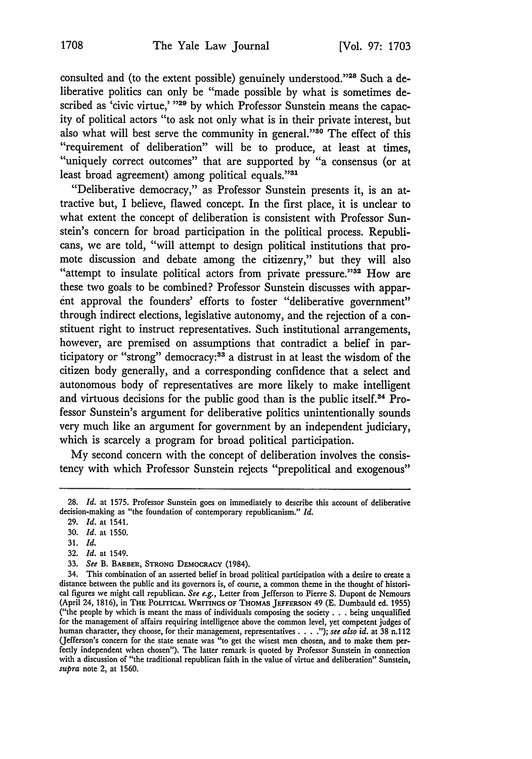consulted and (to the extent possible) genuinely understood."28 Such a deliberative politics can only be "made possible by what is sometimes described as 'civic virtue,' <sup>129</sup> by which Professor Sunstein means the capacity of political actors "to ask not only what is in their private interest, but also what will best serve the community in general."30 The effect of this "requirement of deliberation" will be to produce, at least at times, "uniquely correct outcomes" that are supported by "a consensus (or at least broad agreement) among political equals."3"

"Deliberative democracy," as Professor Sunstein presents it, is an attractive but, I believe, flawed concept. In the first place, it is unclear to what extent the concept of deliberation is consistent with Professor Sunstein's concern for broad participation in the political process. Republicans, we are told, "will attempt to design political institutions that promote discussion and debate among the citizenry," but they will also "attempt to insulate political actors from private pressure."<sup>32</sup> How are these two goals to be combined? Professor Sunstein discusses with apparent approval the founders' efforts to foster "deliberative government" through indirect elections, legislative autonomy, and the rejection of a constituent right to instruct representatives. Such institutional arrangements, however, are premised on assumptions that contradict a belief in participatory or "strong" democracy:<sup>33</sup> a distrust in at least the wisdom of the citizen body generally, and a corresponding confidence that a select and autonomous body of representatives are more likely to make intelligent and virtuous decisions for the public good than is the public itself.<sup>34</sup> Professor Sunstein's argument for deliberative politics unintentionally sounds very much like an argument for government by an independent judiciary, which is scarcely a program for broad political participation.

My second concern with the concept of deliberation involves the consistency with which Professor Sunstein rejects "prepolitical and exogenous"

32. *Id.* at 1549.

<sup>28.</sup> *Id.* at 1575. Professor Sunstein goes on immediately to describe this account of deliberative decision-making as "the foundation of contemporary republicanism." *Id.*

<sup>29.</sup> *Id.* at 1541.

**<sup>30.</sup>** *Id.* at 1550.

<sup>31.</sup> *Id.*

<sup>33.</sup> *See* B. BARBER, **STRONG DEMOCRACY** (1984).

<sup>34.</sup> This combination of an asserted belief in broad political participation with a desire to create a distance between the public and its governors is, of course, a common theme in the thought of historical figures we might call republican. *See e.g.,* Letter from Jefferson to Pierre S. Dupont de Nemours (April 24, 1816), in THE POLITICAL **WRITINGS OF THOMAS JEFFERSON** 49 **(E.** Dumbauld ed. 1955) ("the people by which is meant the mass of individuals composing the society **. . .** being unqualified for the management of affairs requiring intelligence above the common level, yet competent judges of human character, they choose, for their management, representatives **....");** *see also id.* at 38 n.1 12 (Jefferson's concern for the state senate was "to get the wisest men chosen, and to make them perfectly independent when chosen"). The latter remark is quoted by Professor Sunstein in connection with a discussion of "the traditional republican faith in the value of virtue and deliberation" Sunstein, *supra* note 2, at 1560.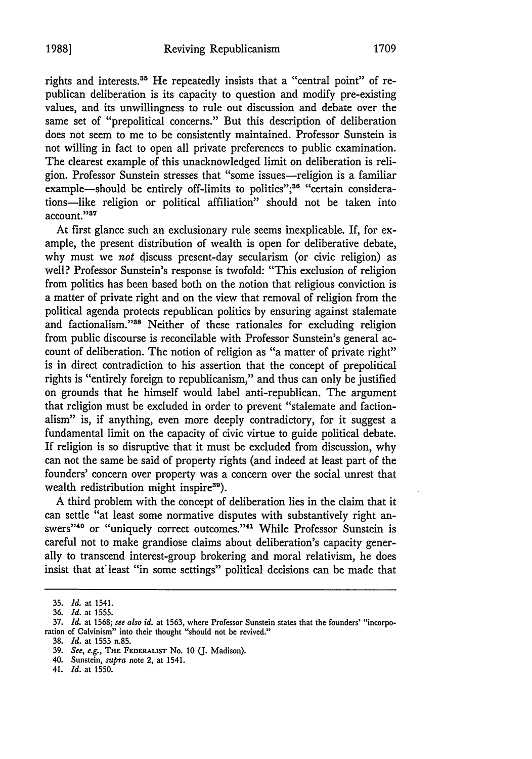rights and interests.<sup>35</sup> He repeatedly insists that a "central point" of republican deliberation is its capacity to question and modify pre-existing values, and its unwillingness to rule out discussion and debate over the same set of "prepolitical concerns." But this description of deliberation does not seem to me to be consistently maintained. Professor Sunstein is not willing in fact to open all private preferences to public examination. The clearest example of this unacknowledged limit on deliberation is religion. Professor Sunstein stresses that "some issues-religion is a familiar example-should be entirely off-limits to politics";<sup>36</sup> "certain considerations-like religion or political affiliation" should not be taken into account."'37

At first glance such an exclusionary rule seems inexplicable. If, for example, the present distribution of wealth is open for deliberative debate, why must we *not* discuss present-day secularism (or civic religion) as well? Professor Sunstein's response is twofold: "This exclusion of religion from politics has been based both on the notion that religious conviction is a matter of private right and on the view that removal of religion from the political agenda protects republican politics by ensuring against stalemate and factionalism."<sup>38</sup> Neither of these rationales for excluding religion from public discourse is reconcilable with Professor Sunstein's general account of deliberation. The notion of religion as "a matter of private right" is in direct contradiction to his assertion that the concept of prepolitical rights is "entirely foreign to republicanism," and thus can only be justified on grounds that he himself would label anti-republican. The argument that religion must be excluded in order to prevent "stalemate and factionalism" is, if anything, even more deeply contradictory, for it suggest a fundamental limit on the capacity of civic virtue to guide political debate. If religion is so disruptive that it must be excluded from discussion, why can not the same be said of property rights (and indeed at least part of the founders' concern over property was a concern over the social unrest that wealth redistribution might inspire<sup>39</sup>).

A third problem with the concept of deliberation lies in the claim that it can settle "at least some normative disputes with substantively right answers"<sup>40</sup> or "uniquely correct outcomes."<sup>41</sup> While Professor Sunstein is careful not to make grandiose claims about deliberation's capacity generally to transcend interest-group brokering and moral relativism, he does insist that at least "in some settings" political decisions can be made that

<sup>35.</sup> *Id.* at 1541.

<sup>36.</sup> *Id.* at 1555.

**<sup>37.</sup>** *Id.* at 1568; see also *id.* at **1563,** where Professor Sunstein states that the founders' "incorporation of Calvinism" into their thought "should not be revived."

<sup>38.</sup> *Id.* at 1555 n.85.

<sup>39.</sup> *See, e.g.,* **THE FEDERALIST** No. 10 (J. Madison).

<sup>40.</sup> Sunstein, *supra* note 2, at 1541.

<sup>41.</sup> *Id.* at 1550.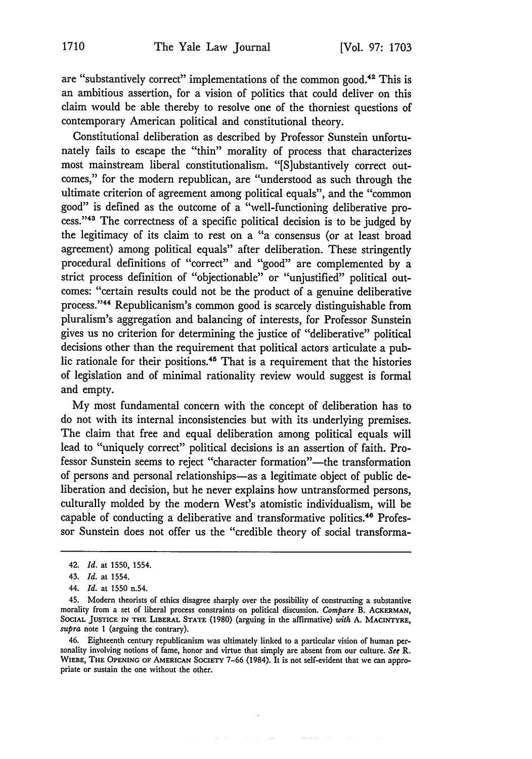are "substantively correct" implementations of the common good.42 This is an ambitious assertion, for a vision of politics that could deliver on this claim would be able thereby to resolve one of the thorniest questions of contemporary American political and constitutional theory.

Constitutional deliberation as described by Professor Sunstein unfortunately fails to escape the "thin" morality of process that characterizes most mainstream liberal constitutionalism. "[S]ubstantively correct outcomes," for the modern republican, are "understood as such through the ultimate criterion of agreement among political equals", and the "common good" is defined as the outcome of a "well-functioning deliberative process."<sup>43</sup> The correctness of a specific political decision is to be judged by the legitimacy of its claim to rest on a "a consensus (or at least broad agreement) among political equals" after deliberation. These stringently procedural definitions of "correct" and "good" are complemented by a strict process definition of "objectionable" or "unjustified" political outcomes: "certain results could not be the product of a genuine deliberative process."<sup>44</sup> Republicanism's common good is scarcely distinguishable from pluralism's aggregation and balancing of interests, for Professor Sunstein gives us no criterion for determining the justice of "deliberative" political decisions other than the requirement that political actors articulate a public rationale for their positions.45 That is a requirement that the histories of legislation and of minimal rationality review would suggest is formal and empty.

My most fundamental concern with the concept of deliberation has to do not with its internal inconsistencies but with its underlying premises. The claim that free and equal deliberation among political equals will lead to "uniquely correct" political decisions is an assertion of faith. Professor Sunstein seems to reject "character formation"-the transformation of persons and personal relationships-as a legitimate object of public deliberation and decision, but he never explains how untransformed persons, culturally molded by the modern West's atomistic individualism, will be capable of conducting a deliberative and transformative politics. 48 Professor Sunstein does not offer us the "credible theory of social transforma-

44. *Id.* at 1550 n.54.

 $\omega_{\rm c}$  and

 $\mathcal{O}(\mathcal{O}(\log n) \log n)$  . The  $\mathcal{O}(\mathcal{O}(\log n)$ 

<sup>42.</sup> *Id.* at 1550, 1554.

<sup>43.</sup> *Id.* at 1554.

<sup>45.</sup> Modern theorists of ethics disagree sharply over the possibility of constructing a substantive morality from a set of liberal process constraints on political discussion. *Compare* B. ACKERMAN, **SOCIAL JUSTICE IN THE LIBERAL STATE** (1980) (arguing in the affirmative) *with* A. **MACINTYRE,** *supra* note **1** (arguing the contrary).

<sup>46.</sup> Eighteenth century republicanism was ultimately linked to a particular vision of human personality involving notions of fame, honor and virtue that simply are absent from our culture. *See R.* **WIEBE, THE OPENING OF AMERICAN** SOCIETY 7-66 (1984). It is not self-evident that we can appropriate or sustain the one without the other.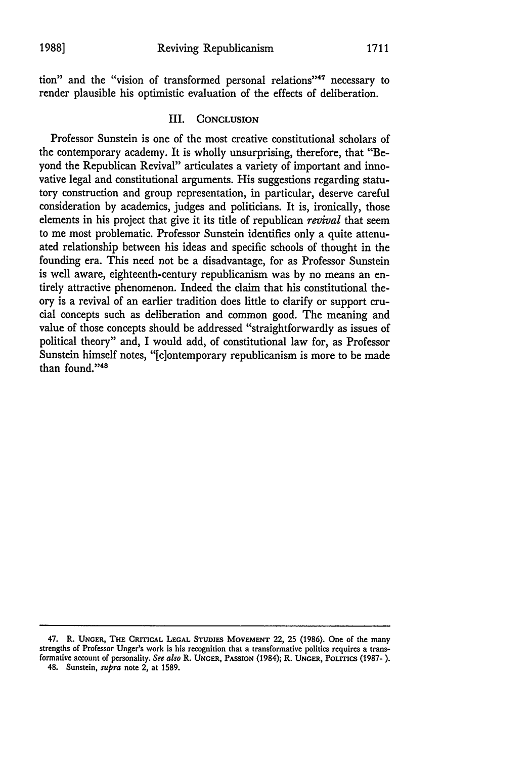tion" and the "vision of transformed personal relations"<sup>47</sup> necessary to render plausible his optimistic evaluation of the effects of deliberation.

### III. **CONCLUSION**

Professor Sunstein is one of the most creative constitutional scholars of the contemporary academy. It is wholly unsurprising, therefore, that "Beyond the Republican Revival" articulates a variety of important and innovative legal and constitutional arguments. His suggestions regarding statutory construction and group representation, in particular, deserve careful consideration by academics, judges and politicians. It is, ironically, those elements in his project that give it its title of republican *revival* that seem to me most problematic. Professor Sunstein identifies only a quite attenuated relationship between his ideas and specific schools of thought in the founding era. This need not be a disadvantage, for as Professor Sunstein is well aware, eighteenth-century republicanism was by no means an entirely attractive phenomenon. Indeed the claim that his constitutional theory is a revival of an earlier tradition does little to clarify or support crucial concepts such as deliberation and common good. The meaning and value of those concepts should be addressed "straightforwardly as issues of political theory" and, I would add, of constitutional law for, as Professor Sunstein himself notes, "[c]ontemporary republicanism is more to be made than found." $48$ 

<sup>47.</sup> R. **UNGER,** THE CRITICAL **LEGAL STUDIES MovEMENT** 22, **25 (1986).** One of the many strengths of Professor Unger's work is his recognition that a transformative politics requires a transformative account of personality. See also R. UNGER, PASSION (1984); R. **UNGER,** POLITIcs (1987-). 48. Sunstein, *supra* note 2, at 1589.